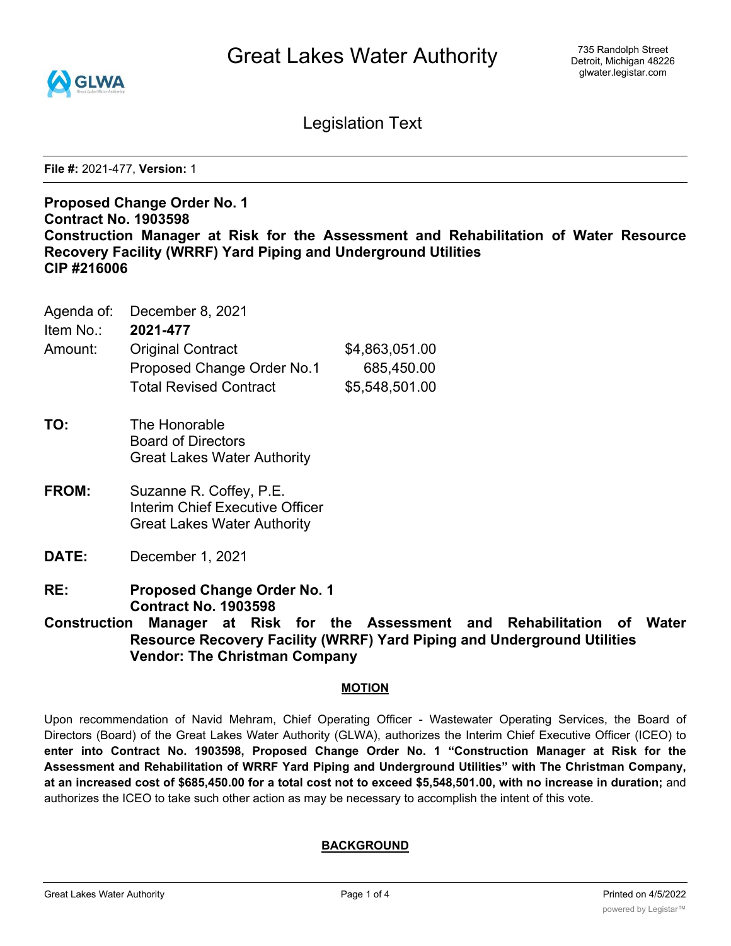

Legislation Text

**File #:** 2021-477, **Version:** 1

# **Proposed Change Order No. 1 Contract No. 1903598 Construction Manager at Risk for the Assessment and Rehabilitation of Water Resource Recovery Facility (WRRF) Yard Piping and Underground Utilities CIP #216006**

|                    | Agenda of: December 8, 2021 |
|--------------------|-----------------------------|
| Item No.: 2021-477 |                             |

| Amount: | <b>Original Contract</b>      | \$4,863,051.00 |
|---------|-------------------------------|----------------|
|         | Proposed Change Order No.1    | 685,450.00     |
|         | <b>Total Revised Contract</b> | \$5,548,501.00 |

- **TO:** The Honorable Board of Directors Great Lakes Water Authority
- **FROM:** Suzanne R. Coffey, P.E. Interim Chief Executive Officer Great Lakes Water Authority
- **DATE:** December 1, 2021
- **RE: Proposed Change Order No. 1 Contract No. 1903598**

**Construction Manager at Risk for the Assessment and Rehabilitation of Water Resource Recovery Facility (WRRF) Yard Piping and Underground Utilities Vendor: The Christman Company**

## **MOTION**

Upon recommendation of Navid Mehram, Chief Operating Officer - Wastewater Operating Services, the Board of Directors (Board) of the Great Lakes Water Authority (GLWA), authorizes the Interim Chief Executive Officer (ICEO) to **enter into Contract No. 1903598, Proposed Change Order No. 1 "Construction Manager at Risk for the Assessment and Rehabilitation of WRRF Yard Piping and Underground Utilities" with The Christman Company,** at an increased cost of \$685,450.00 for a total cost not to exceed \$5,548,501.00, with no increase in duration; and authorizes the ICEO to take such other action as may be necessary to accomplish the intent of this vote.

## **BACKGROUND**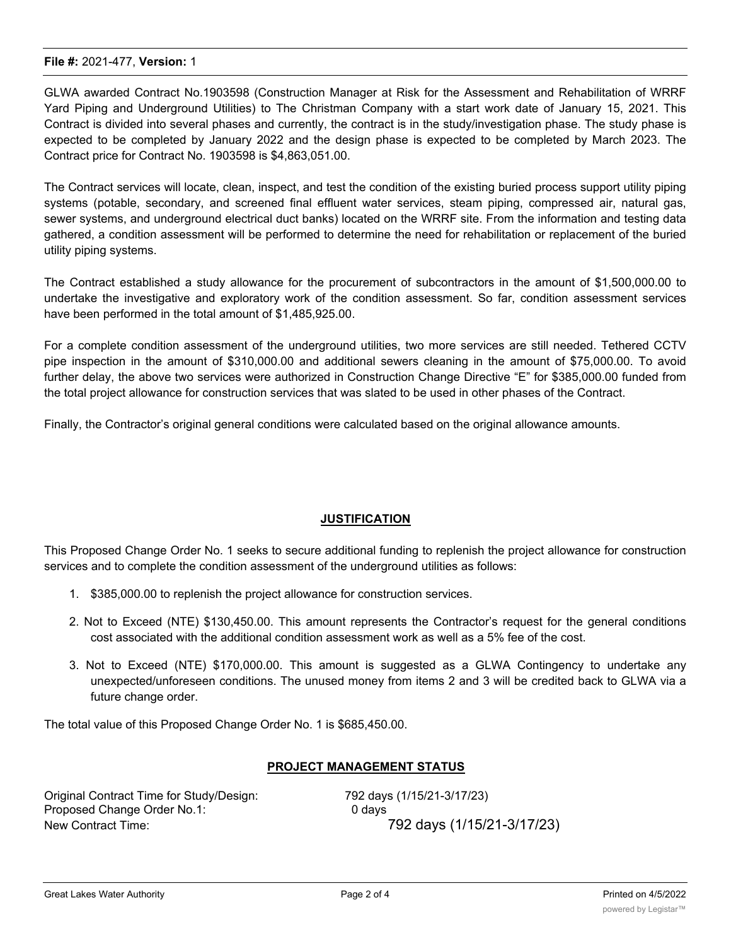#### **File #:** 2021-477, **Version:** 1

GLWA awarded Contract No.1903598 (Construction Manager at Risk for the Assessment and Rehabilitation of WRRF Yard Piping and Underground Utilities) to The Christman Company with a start work date of January 15, 2021. This Contract is divided into several phases and currently, the contract is in the study/investigation phase. The study phase is expected to be completed by January 2022 and the design phase is expected to be completed by March 2023. The Contract price for Contract No. 1903598 is \$4,863,051.00.

The Contract services will locate, clean, inspect, and test the condition of the existing buried process support utility piping systems (potable, secondary, and screened final effluent water services, steam piping, compressed air, natural gas, sewer systems, and underground electrical duct banks) located on the WRRF site. From the information and testing data gathered, a condition assessment will be performed to determine the need for rehabilitation or replacement of the buried utility piping systems.

The Contract established a study allowance for the procurement of subcontractors in the amount of \$1,500,000.00 to undertake the investigative and exploratory work of the condition assessment. So far, condition assessment services have been performed in the total amount of \$1,485,925.00.

For a complete condition assessment of the underground utilities, two more services are still needed. Tethered CCTV pipe inspection in the amount of \$310,000.00 and additional sewers cleaning in the amount of \$75,000.00. To avoid further delay, the above two services were authorized in Construction Change Directive "E" for \$385,000.00 funded from the total project allowance for construction services that was slated to be used in other phases of the Contract.

Finally, the Contractor's original general conditions were calculated based on the original allowance amounts.

## **JUSTIFICATION**

This Proposed Change Order No. 1 seeks to secure additional funding to replenish the project allowance for construction services and to complete the condition assessment of the underground utilities as follows:

- 1. \$385,000.00 to replenish the project allowance for construction services.
- 2. Not to Exceed (NTE) \$130,450.00. This amount represents the Contractor's request for the general conditions cost associated with the additional condition assessment work as well as a 5% fee of the cost.
- 3. Not to Exceed (NTE) \$170,000.00. This amount is suggested as a GLWA Contingency to undertake any unexpected/unforeseen conditions. The unused money from items 2 and 3 will be credited back to GLWA via a future change order.

The total value of this Proposed Change Order No. 1 is \$685,450.00.

#### **PROJECT MANAGEMENT STATUS**

Original Contract Time for Study/Design: 792 days (1/15/21-3/17/23) Proposed Change Order No.1: 0 days New Contract Time: 792 days (1/15/21-3/17/23)